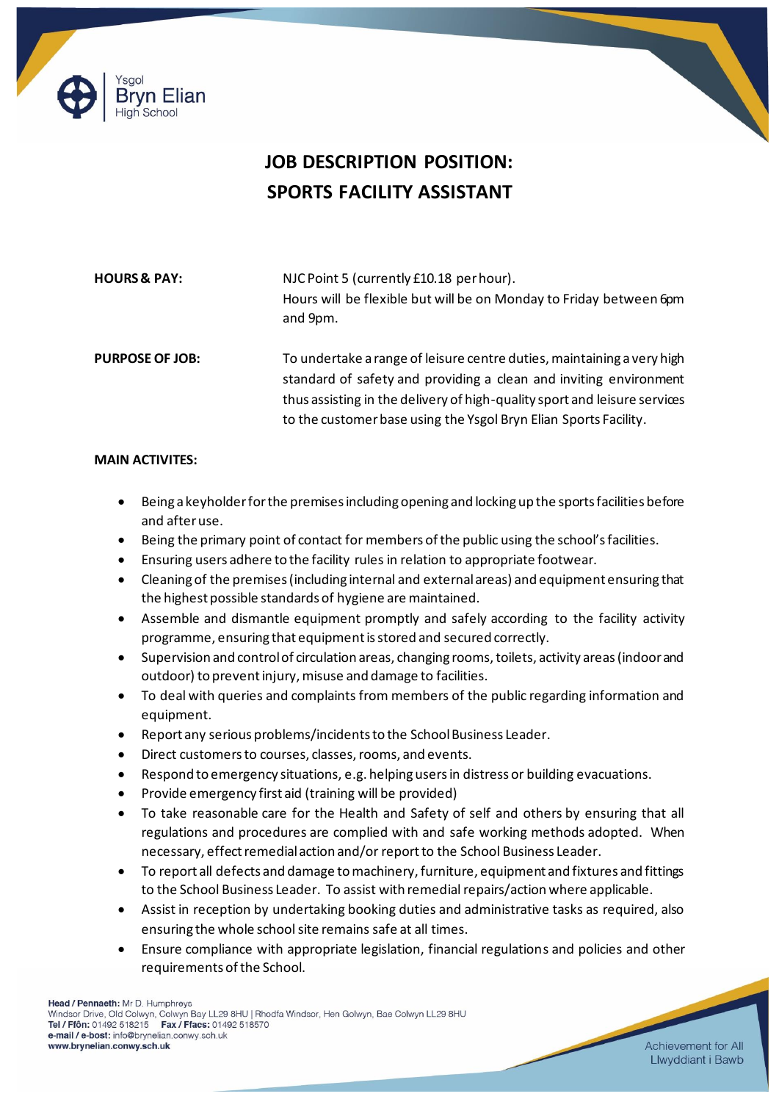



## **JOB DESCRIPTION POSITION: SPORTS FACILITY ASSISTANT**

| <b>HOURS &amp; PAY:</b> | NJC Point 5 (currently £10.18 per hour).<br>Hours will be flexible but will be on Monday to Friday between 6pm<br>and 9pm.                                                                                                                                                                   |
|-------------------------|----------------------------------------------------------------------------------------------------------------------------------------------------------------------------------------------------------------------------------------------------------------------------------------------|
| <b>PURPOSE OF JOB:</b>  | To undertake a range of leisure centre duties, maintaining a very high<br>standard of safety and providing a clean and inviting environment<br>thus assisting in the delivery of high-quality sport and leisure services<br>to the customer base using the Ysgol Bryn Elian Sports Facility. |

## **MAIN ACTIVITES:**

- Being a keyholder for the premises including opening and locking up the sports facilities before and after use.
- Being the primary point of contact for members of the public using the school's facilities.
- Ensuring users adhere to the facility rules in relation to appropriate footwear.
- Cleaning of the premises (including internal and external areas) and equipment ensuring that the highest possible standards of hygiene are maintained.
- Assemble and dismantle equipment promptly and safely according to the facility activity programme, ensuring that equipment is stored and secured correctly.
- Supervision and control of circulation areas, changing rooms, toilets, activity areas (indoor and outdoor) to prevent injury, misuse and damage to facilities.
- To deal with queries and complaints from members of the public regarding information and equipment.
- Report any serious problems/incidents to the School Business Leader.
- Direct customers to courses, classes, rooms, and events.
- Respond to emergency situations, e.g. helping users in distress or building evacuations.
- Provide emergency first aid (training will be provided)
- To take reasonable care for the Health and Safety of self and others by ensuring that all regulations and procedures are complied with and safe working methods adopted. When necessary, effect remedial action and/or report to the School Business Leader.
- To report all defects and damage to machinery, furniture, equipment and fixtures and fittings to the School Business Leader. To assist with remedial repairs/action where applicable.
- Assist in reception by undertaking booking duties and administrative tasks as required, also ensuring the whole school site remains safe at all times.
- Ensure compliance with appropriate legislation, financial regulations and policies and other requirements of the School.